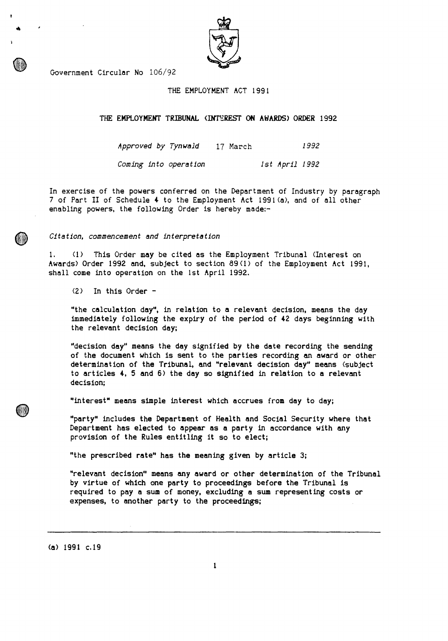| ı<br>h |
|--------|
|        |

# Government Circular No 106/92

## THE EMPLOYMENT ACT 1991

THE **EMPLOYMENT TRIBUNAL (INTEREST ON AWARDS) ORDER 1992** 

*Approved* by *Tynwald* 17 March 1992 *Coming* into *operation 1st April* <sup>1992</sup>

In exercise of the powers conferred on the Department of Industry by paragraph 7 of Part II of **Schedule 4 to the Employment** Act 1991(a), and of all other enabling powers, the following Order is hereby made:-

*Citation, commencement and interpretation* 

1. (1) This **Order may be cited as the Employment Tribunal (Interest on Awards) Order 1992 and, subject to section 89(1) of the Employment Act 1991, shall come into operation on the 1st April 1992.** 

(2) **In this Order -** 

**"the calculation day", in relation to a relevant decision, means the day immediately following the expiry of the period of 42 days beginning with the relevant decision day;** 

**"decision day" means the day signified by the date recording the sending of the document which is sent to the parties recording an award or other determination of the Tribunal, and "relevant decision day" means (subject to articles 4, 5 and 6) the day so signified in relation to a relevant decision;** 

**"interest" means simple interest which accrues from day to day;** 

**"party" includes the Department of Health and Social Security where that Department has elected to appear as a party in accordance with any provision of the Rules entitling it so to elect;** 

**"the prescribed rate" has the meaning given by article 3;** 

**"relevant decision" means any award or other determination of the Tribunal by virtue of which one party to proceedings before the Tribunal is required to pay a sum of money, excluding a sum representing costs or expenses, to another party to the proceedings;** 

**(a) 1991 c.19**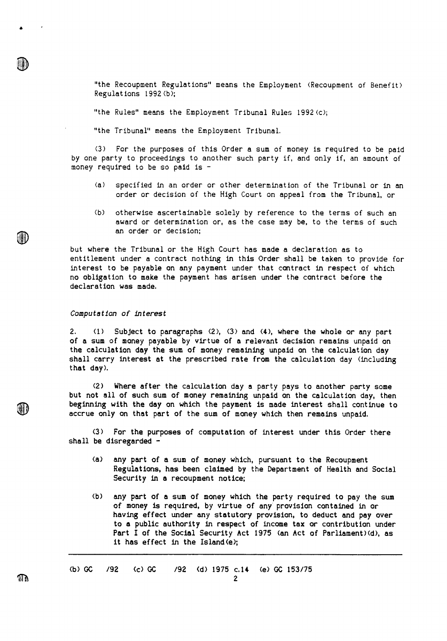"the Recoupment Regulations" means the Employment (Recoupment of Benefit) Regulations 1992 (b);

"the Rules" means the Employment Tribunal Rules 1992(c);

"the Tribunal" means the Employment Tribunal.

(3) For the purposes of this Order a sum of money is required to be paid by one party to proceedings to another such party if, and only if, an amount of money required to be so paid is -

- (a) specified in an order or other determination of the Tribunal or in an order or decision of the High Court on appeal from the Tribunal, or
- (b) otherwise ascertainable solely by reference to the terms of such an award or determination or, as the case may be, to the terms of such an order or decision;

but where the Tribunal or the High Court has made a declaration as to entitlement under a contract nothing in this Order shall be taken to provide for interest to be payable on any payment under that contract in respect of which no obligation to make the payment has arisen under the contract before the declaration **was made.** 

# Computation of interest

2. **(1) Subject to paragraphs (2), (3) and (4), where the whole or any part of a sum of money payable by virtue of a relevant decision remains unpaid on the calculation day the sum of money remaining unpaid on the calculation day shall carry interest at the prescribed rate from the calculation day (including that day).** 

**(2) Where after the calculation day a party pays to another party some but not all of such sum of money remaining unpaid on the calculation day, then beginning with the day on which the payment is made interest shall continue to accrue only on that part of the sum of money which then remains unpaid.** 

**(3) For the purposes of computation of interest under this Order there shall be disregarded -** 

- **(a) any part of a sum of money which, pursuant to the Recoupment Regulations, has been claimed by the Department of Health and Social Security** in **a recoupment notice;**
- **(b) any part of a sum of money which the party required to pay the sum of money is required, by virtue of any provision contained** in **or having effect under any statutory provision, to deduct and pay over to a public authority** in **respect of income tax or contribution under Part I of the Social Security Act 1975 (an Act of Parliament)(d), as it has effect in the Island(e);**

(b) GC **/92 (c) GC /92 (d) 1975 c.14 (e) GC 153/75** 

Td

HD

(III)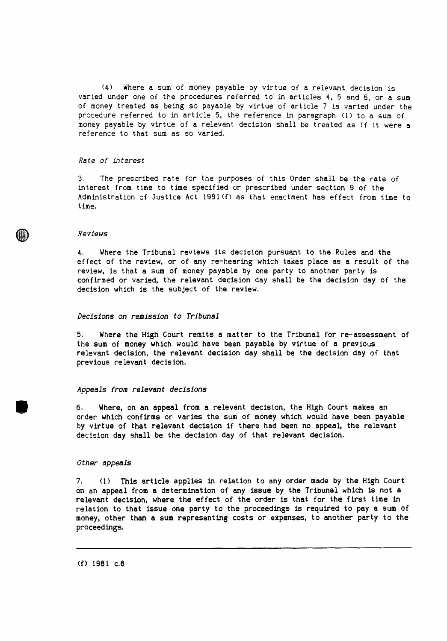(4) Where a sum of money payable by virtue of a relevant decision is varied under one of the procedures referred to in articles 4, 5 and 6, or a sum of money treated as being so payable by virtue of article 7 is varied under the procedure referred to in article 5, the reference in paragraph (1) to a sum of money payable by virtue of a relevant decision shall be treated as if it were a reference to that sum as so varied.

# Rate of interest

3. The prescribed rate for the purposes of this Order shall be the rate of interest from time to time specified or prescribed under section 9 of the Administration of Justice Act 1981(f) as that enactment has effect from time to time.

#### Reviews

4. Where the Tribunal reviews its decision pursuant to the Rules and the effect of the review, or of any re-hearing which takes place as a result of the review, is that a sum of money payable by one party to another party is confirmed or varied, the relevant decision day shall be the decision day of the decision which is the subject of the review.

#### Decisions on remission to Tribunal

5. Where the High Court remits a matter to the Tribunal for re-assessment of the sum of money which would have been payable by virtue of a previous relevant decision, the relevant decision day shall be the decision day of that previous relevant decision.

## Appeals from relevant decisions

6. Where, on an appeal from a relevant decision, the High Court makes an order which confirms or varies the sum of money which would have been payable by virtue of that relevant decision if there had been no appeal, the relevant decision day shall be the decision day of that relevant decision.

# Other appeals

41)

7. (1) This article applies in relation to any order made by the High Court on an appeal from a determination of any issue by the Tribunal which is not a relevant decision, where the effect of the order is that for the first time in relation to that issue one party to the proceedings is required to pay a sum of money, other than a sum representing costs or expenses, to another party to the proceedings.